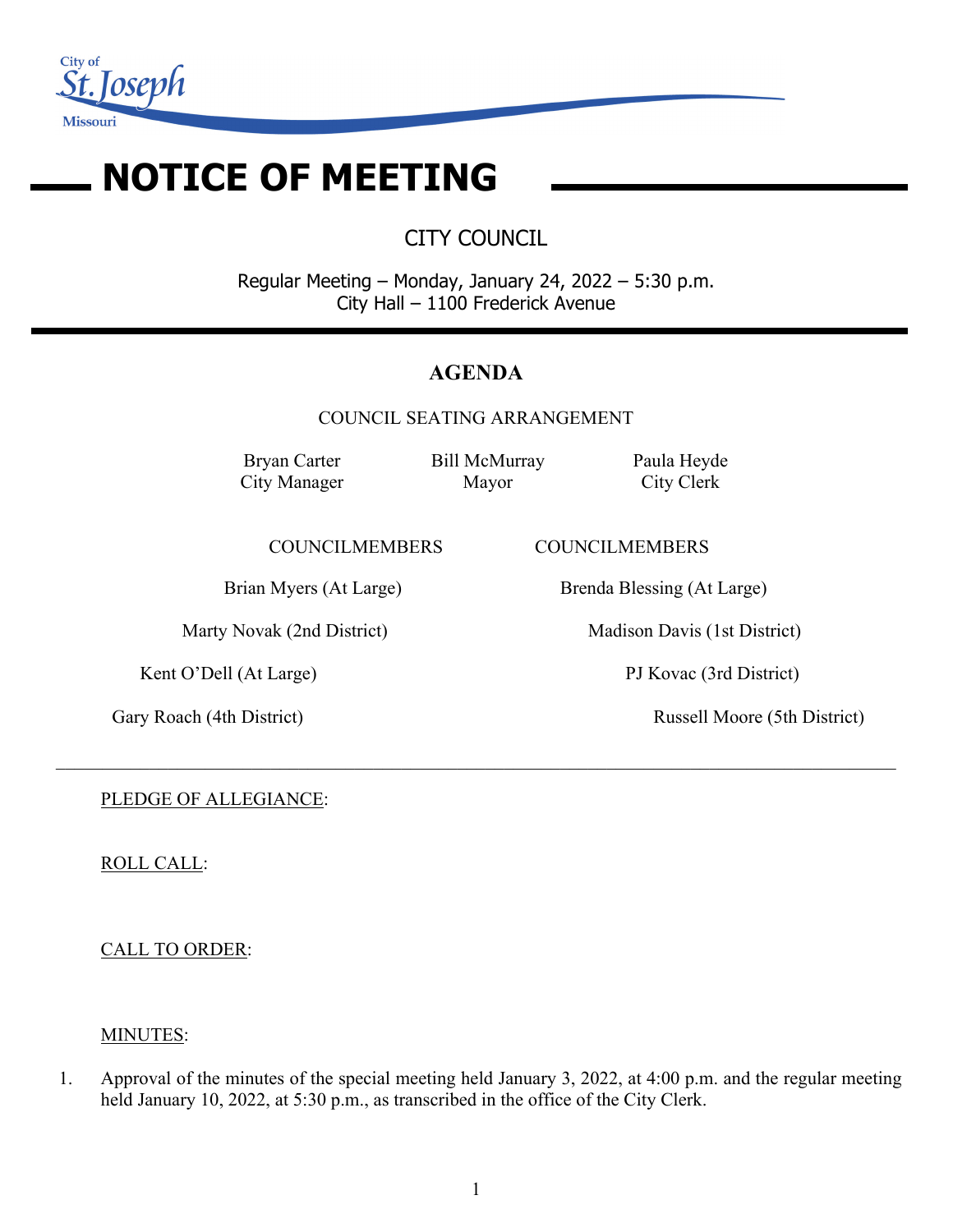

# **NOTICE OF MEETING**

CITY COUNCIL

Regular Meeting – Monday, January 24, 2022 – 5:30 p.m. City Hall – 1100 Frederick Avenue

# **AGENDA**

COUNCIL SEATING ARRANGEMENT

 $\_$  , and the set of the set of the set of the set of the set of the set of the set of the set of the set of the set of the set of the set of the set of the set of the set of the set of the set of the set of the set of th

Bryan Carter City Manager Bill McMurray Mayor

Paula Heyde City Clerk

COUNCILMEMBERS COUNCILMEMBERS

Kent O'Dell (At Large) PJ Kovac (3rd District)

Brian Myers (At Large) Brenda Blessing (At Large)

Marty Novak (2nd District) Madison Davis (1st District)

Gary Roach (4th District) Russell Moore (5th District)

PLEDGE OF ALLEGIANCE:

ROLL CALL:

CALL TO ORDER:

# MINUTES:

1. Approval of the minutes of the special meeting held January 3, 2022, at 4:00 p.m. and the regular meeting held January 10, 2022, at 5:30 p.m., as transcribed in the office of the City Clerk.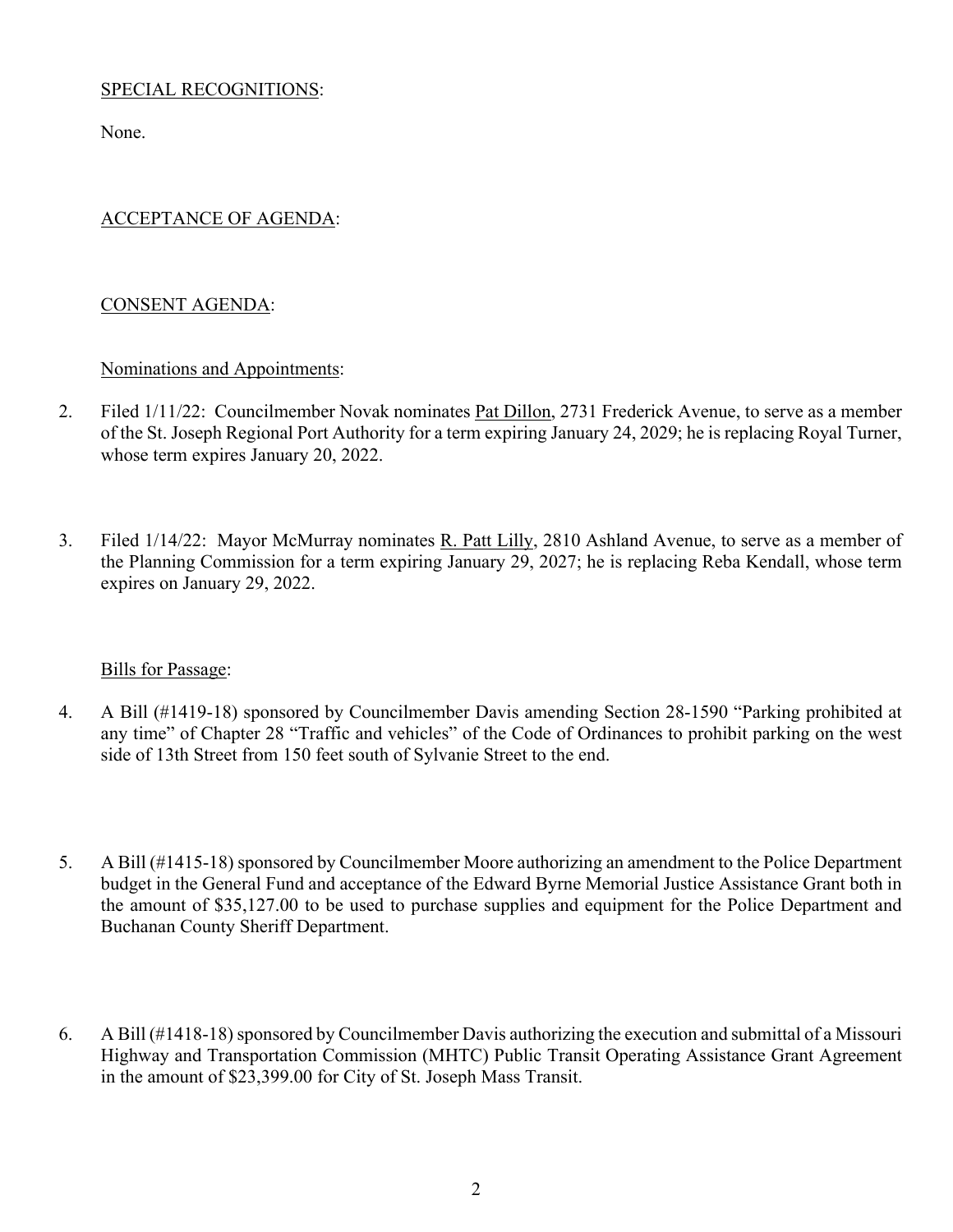## SPECIAL RECOGNITIONS:

None.

## ACCEPTANCE OF AGENDA:

## CONSENT AGENDA:

#### Nominations and Appointments:

- 2. Filed 1/11/22: Councilmember Novak nominates Pat Dillon, 2731 Frederick Avenue, to serve as a member of the St. Joseph Regional Port Authority for a term expiring January 24, 2029; he is replacing Royal Turner, whose term expires January 20, 2022.
- 3. Filed 1/14/22: Mayor McMurray nominates R. Patt Lilly, 2810 Ashland Avenue, to serve as a member of the Planning Commission for a term expiring January 29, 2027; he is replacing Reba Kendall, whose term expires on January 29, 2022.

#### Bills for Passage:

- 4. A Bill (#1419-18) sponsored by Councilmember Davis amending Section 28-1590 "Parking prohibited at any time" of Chapter 28 "Traffic and vehicles" of the Code of Ordinances to prohibit parking on the west side of 13th Street from 150 feet south of Sylvanie Street to the end.
- 5. A Bill (#1415-18) sponsored by Councilmember Moore authorizing an amendment to the Police Department budget in the General Fund and acceptance of the Edward Byrne Memorial Justice Assistance Grant both in the amount of \$35,127.00 to be used to purchase supplies and equipment for the Police Department and Buchanan County Sheriff Department.
- 6. A Bill (#1418-18) sponsored by Councilmember Davis authorizing the execution and submittal of a Missouri Highway and Transportation Commission (MHTC) Public Transit Operating Assistance Grant Agreement in the amount of \$23,399.00 for City of St. Joseph Mass Transit.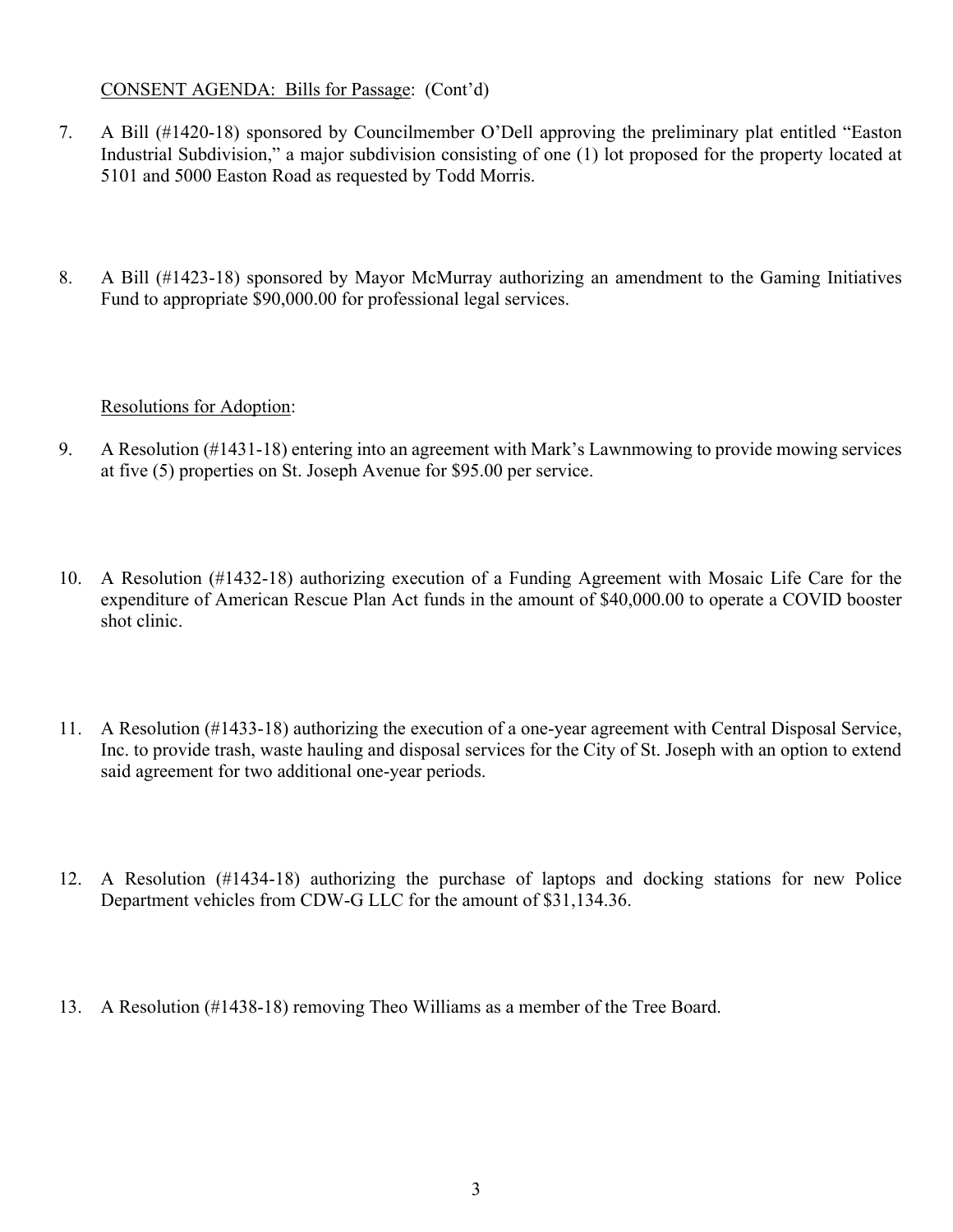## CONSENT AGENDA: Bills for Passage: (Cont'd)

- 7. A Bill (#1420-18) sponsored by Councilmember O'Dell approving the preliminary plat entitled "Easton Industrial Subdivision," a major subdivision consisting of one (1) lot proposed for the property located at 5101 and 5000 Easton Road as requested by Todd Morris.
- 8. A Bill (#1423-18) sponsored by Mayor McMurray authorizing an amendment to the Gaming Initiatives Fund to appropriate \$90,000.00 for professional legal services.

## Resolutions for Adoption:

- 9. A Resolution (#1431-18) entering into an agreement with Mark's Lawnmowing to provide mowing services at five (5) properties on St. Joseph Avenue for \$95.00 per service.
- 10. A Resolution (#1432-18) authorizing execution of a Funding Agreement with Mosaic Life Care for the expenditure of American Rescue Plan Act funds in the amount of \$40,000.00 to operate a COVID booster shot clinic.
- 11. A Resolution (#1433-18) authorizing the execution of a one-year agreement with Central Disposal Service, Inc. to provide trash, waste hauling and disposal services for the City of St. Joseph with an option to extend said agreement for two additional one-year periods.
- 12. A Resolution (#1434-18) authorizing the purchase of laptops and docking stations for new Police Department vehicles from CDW-G LLC for the amount of \$31,134.36.
- 13. A Resolution (#1438-18) removing Theo Williams as a member of the Tree Board.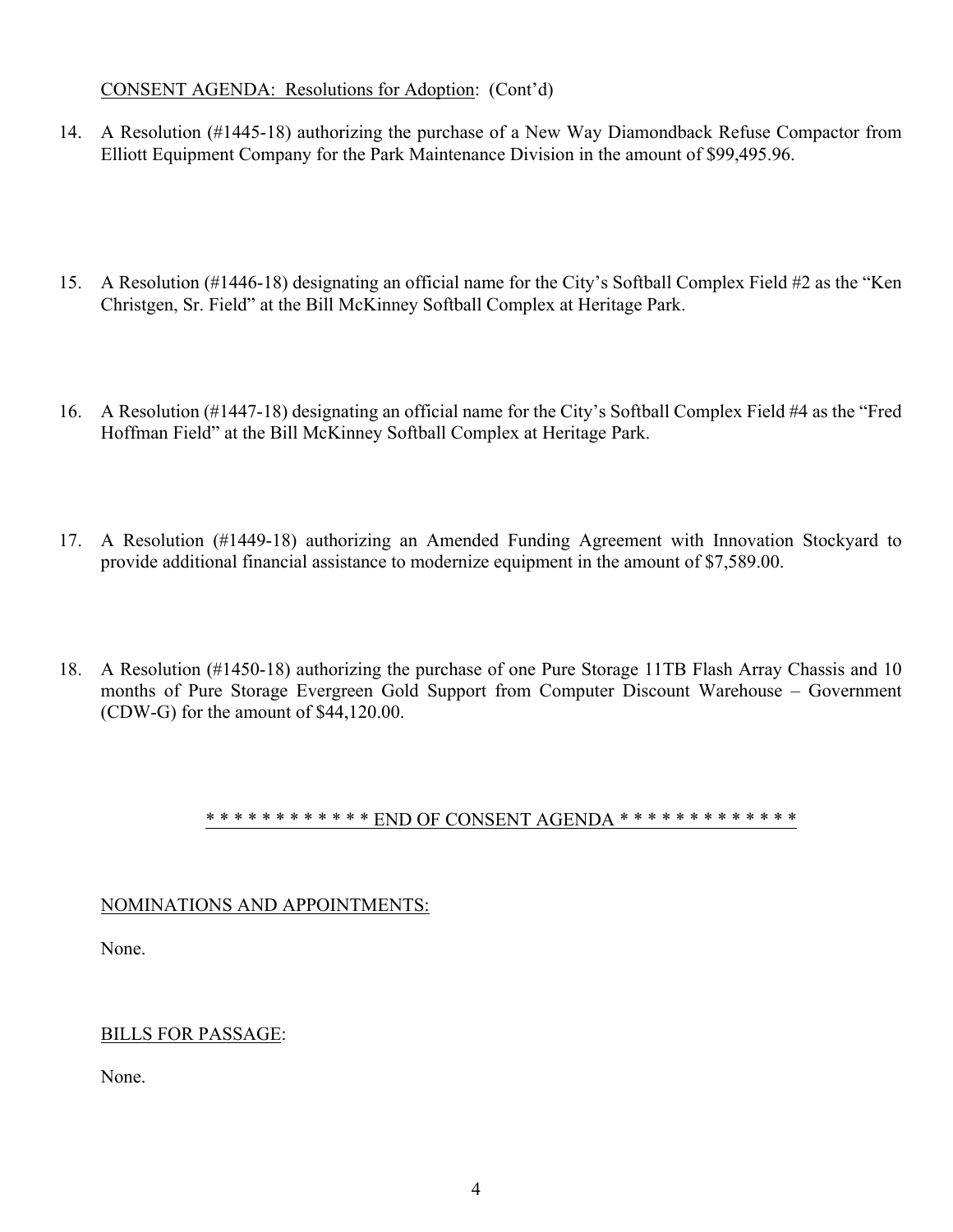## CONSENT AGENDA: Resolutions for Adoption: (Cont'd)

- 14. A Resolution (#1445-18) authorizing the purchase of a New Way Diamondback Refuse Compactor from Elliott Equipment Company for the Park Maintenance Division in the amount of \$99,495.96.
- 15. A Resolution (#1446-18) designating an official name for the City's Softball Complex Field #2 as the "Ken Christgen, Sr. Field" at the Bill McKinney Softball Complex at Heritage Park.
- 16. A Resolution (#1447-18) designating an official name for the City's Softball Complex Field #4 as the "Fred Hoffman Field" at the Bill McKinney Softball Complex at Heritage Park.
- 17. A Resolution (#1449-18) authorizing an Amended Funding Agreement with Innovation Stockyard to provide additional financial assistance to modernize equipment in the amount of \$7,589.00.
- 18. A Resolution (#1450-18) authorizing the purchase of one Pure Storage 11TB Flash Array Chassis and 10 months of Pure Storage Evergreen Gold Support from Computer Discount Warehouse – Government (CDW-G) for the amount of \$44,120.00.

#### \* \* \* \* \* \* \* \* \* \* \* \* END OF CONSENT AGENDA \* \* \* \* \* \* \* \* \* \* \* \* \*

#### NOMINATIONS AND APPOINTMENTS:

None.

#### BILLS FOR PASSAGE:

None.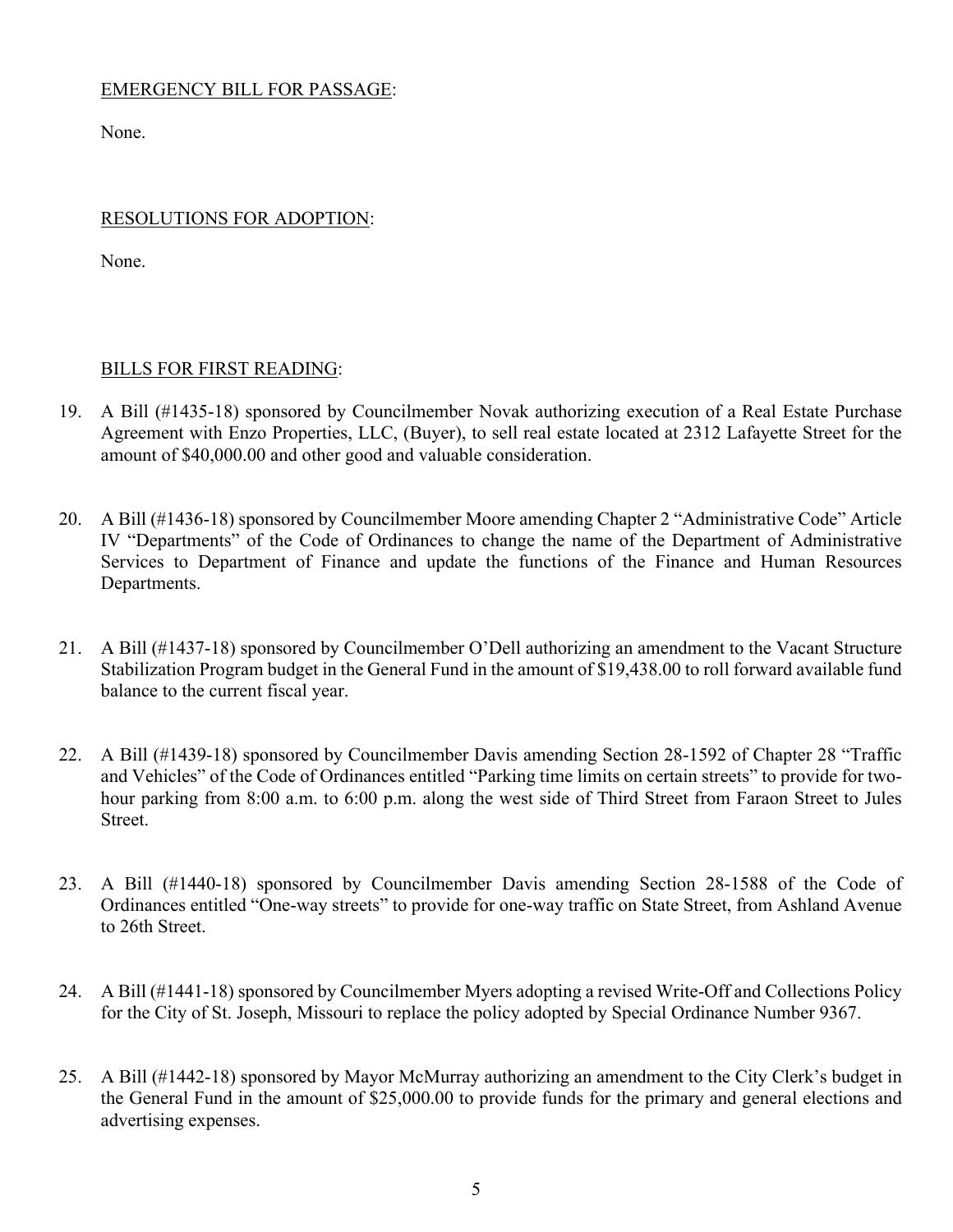## EMERGENCY BILL FOR PASSAGE:

None.

## RESOLUTIONS FOR ADOPTION:

None.

#### BILLS FOR FIRST READING:

- 19. A Bill (#1435-18) sponsored by Councilmember Novak authorizing execution of a Real Estate Purchase Agreement with Enzo Properties, LLC, (Buyer), to sell real estate located at 2312 Lafayette Street for the amount of \$40,000.00 and other good and valuable consideration.
- 20. A Bill (#1436-18) sponsored by Councilmember Moore amending Chapter 2 "Administrative Code" Article IV "Departments" of the Code of Ordinances to change the name of the Department of Administrative Services to Department of Finance and update the functions of the Finance and Human Resources Departments.
- 21. A Bill (#1437-18) sponsored by Councilmember O'Dell authorizing an amendment to the Vacant Structure Stabilization Program budget in the General Fund in the amount of \$19,438.00 to roll forward available fund balance to the current fiscal year.
- 22. A Bill (#1439-18) sponsored by Councilmember Davis amending Section 28-1592 of Chapter 28 "Traffic and Vehicles" of the Code of Ordinances entitled "Parking time limits on certain streets" to provide for twohour parking from 8:00 a.m. to 6:00 p.m. along the west side of Third Street from Faraon Street to Jules Street.
- 23. A Bill (#1440-18) sponsored by Councilmember Davis amending Section 28-1588 of the Code of Ordinances entitled "One-way streets" to provide for one-way traffic on State Street, from Ashland Avenue to 26th Street.
- 24. A Bill (#1441-18) sponsored by Councilmember Myers adopting a revised Write-Off and Collections Policy for the City of St. Joseph, Missouri to replace the policy adopted by Special Ordinance Number 9367.
- 25. A Bill (#1442-18) sponsored by Mayor McMurray authorizing an amendment to the City Clerk's budget in the General Fund in the amount of \$25,000.00 to provide funds for the primary and general elections and advertising expenses.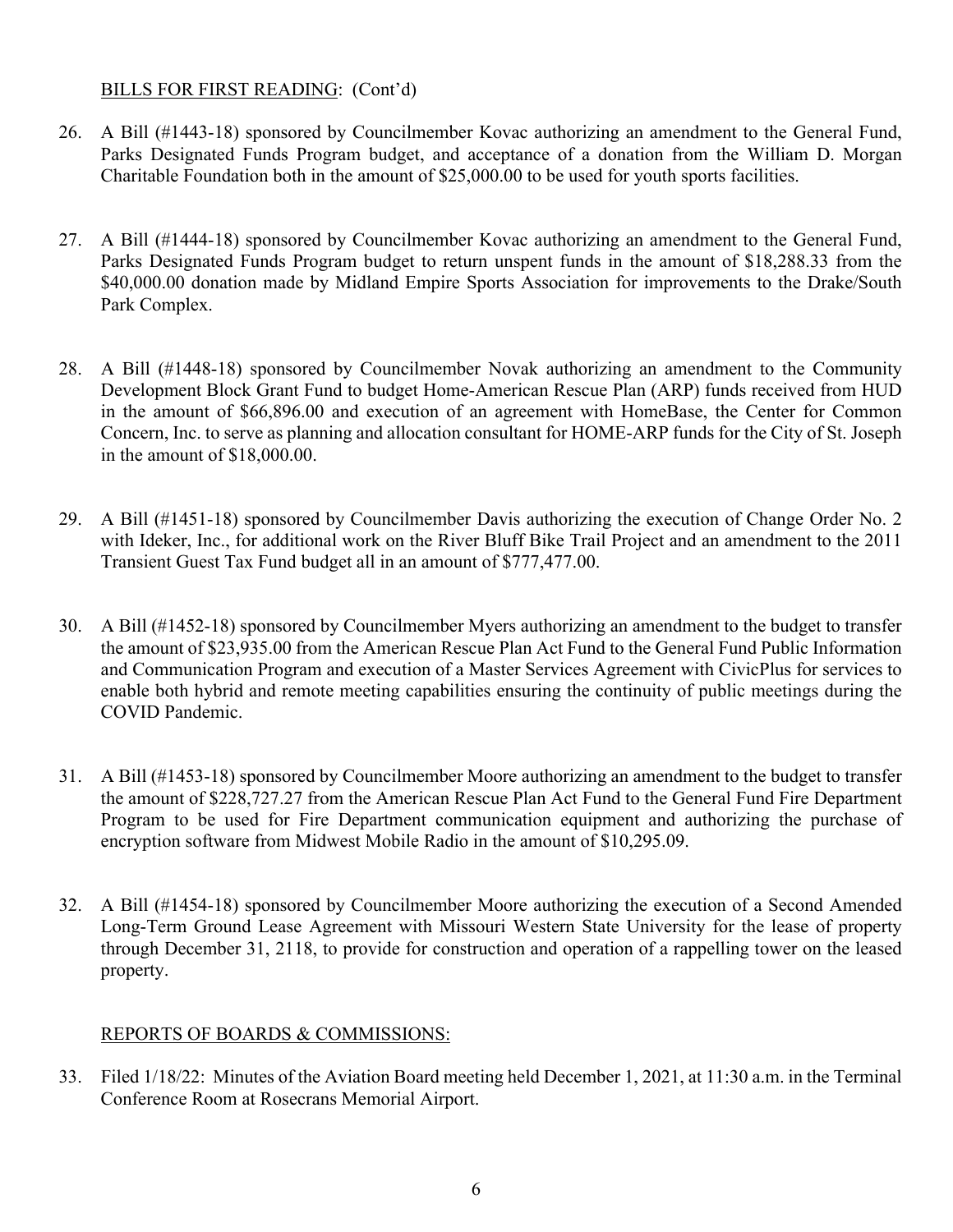## BILLS FOR FIRST READING: (Cont'd)

- 26. A Bill (#1443-18) sponsored by Councilmember Kovac authorizing an amendment to the General Fund, Parks Designated Funds Program budget, and acceptance of a donation from the William D. Morgan Charitable Foundation both in the amount of \$25,000.00 to be used for youth sports facilities.
- 27. A Bill (#1444-18) sponsored by Councilmember Kovac authorizing an amendment to the General Fund, Parks Designated Funds Program budget to return unspent funds in the amount of \$18,288.33 from the \$40,000.00 donation made by Midland Empire Sports Association for improvements to the Drake/South Park Complex.
- 28. A Bill (#1448-18) sponsored by Councilmember Novak authorizing an amendment to the Community Development Block Grant Fund to budget Home-American Rescue Plan (ARP) funds received from HUD in the amount of \$66,896.00 and execution of an agreement with HomeBase, the Center for Common Concern, Inc. to serve as planning and allocation consultant for HOME-ARP funds for the City of St. Joseph in the amount of \$18,000.00.
- 29. A Bill (#1451-18) sponsored by Councilmember Davis authorizing the execution of Change Order No. 2 with Ideker, Inc., for additional work on the River Bluff Bike Trail Project and an amendment to the 2011 Transient Guest Tax Fund budget all in an amount of \$777,477.00.
- 30. A Bill (#1452-18) sponsored by Councilmember Myers authorizing an amendment to the budget to transfer the amount of \$23,935.00 from the American Rescue Plan Act Fund to the General Fund Public Information and Communication Program and execution of a Master Services Agreement with CivicPlus for services to enable both hybrid and remote meeting capabilities ensuring the continuity of public meetings during the COVID Pandemic.
- 31. A Bill (#1453-18) sponsored by Councilmember Moore authorizing an amendment to the budget to transfer the amount of \$228,727.27 from the American Rescue Plan Act Fund to the General Fund Fire Department Program to be used for Fire Department communication equipment and authorizing the purchase of encryption software from Midwest Mobile Radio in the amount of \$10,295.09.
- 32. A Bill (#1454-18) sponsored by Councilmember Moore authorizing the execution of a Second Amended Long-Term Ground Lease Agreement with Missouri Western State University for the lease of property through December 31, 2118, to provide for construction and operation of a rappelling tower on the leased property.

# REPORTS OF BOARDS & COMMISSIONS:

33. Filed 1/18/22: Minutes of the Aviation Board meeting held December 1, 2021, at 11:30 a.m. in the Terminal Conference Room at Rosecrans Memorial Airport.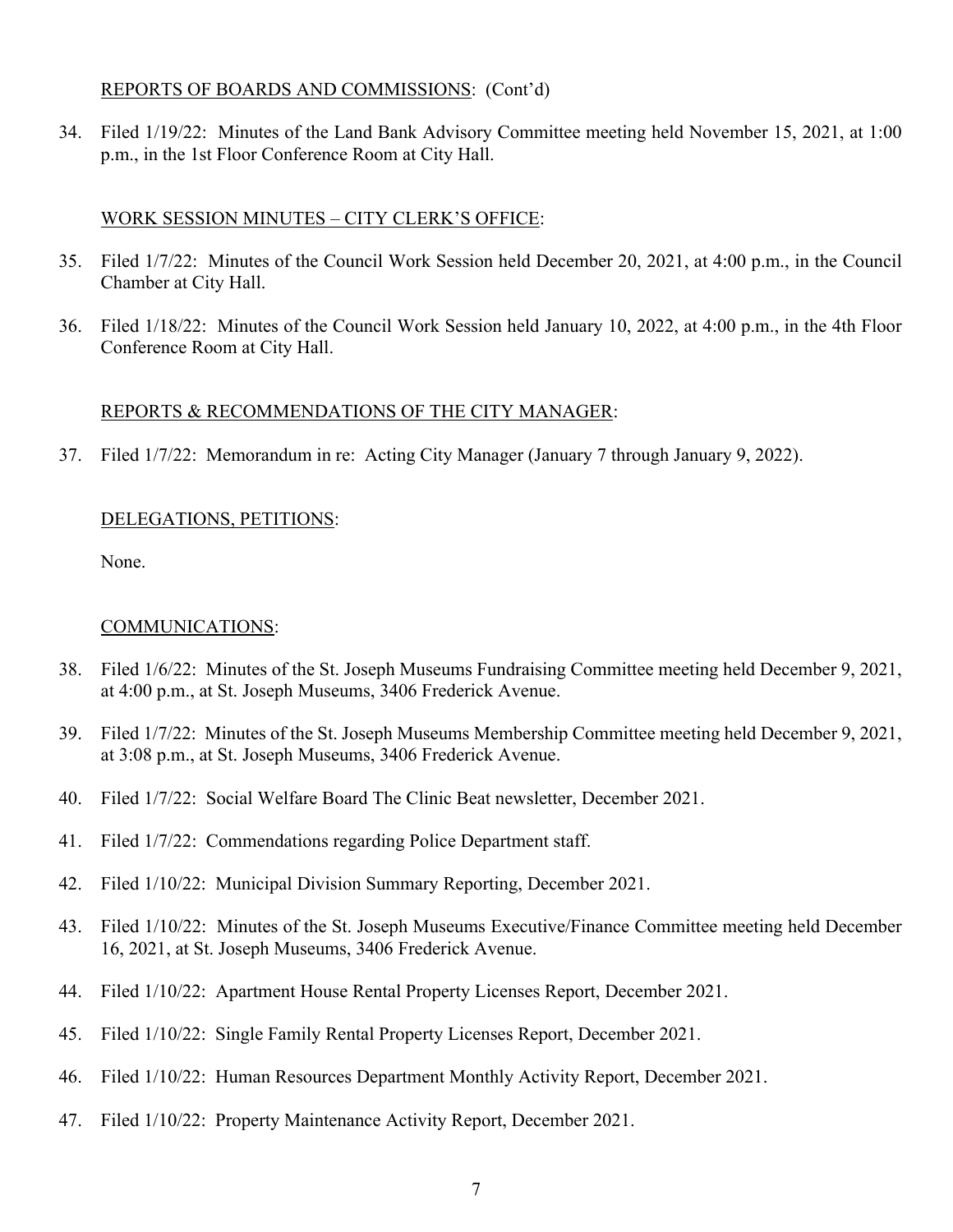#### REPORTS OF BOARDS AND COMMISSIONS: (Cont'd)

34. Filed 1/19/22: Minutes of the Land Bank Advisory Committee meeting held November 15, 2021, at 1:00 p.m., in the 1st Floor Conference Room at City Hall.

## WORK SESSION MINUTES – CITY CLERK'S OFFICE:

- 35. Filed 1/7/22: Minutes of the Council Work Session held December 20, 2021, at 4:00 p.m., in the Council Chamber at City Hall.
- 36. Filed 1/18/22: Minutes of the Council Work Session held January 10, 2022, at 4:00 p.m., in the 4th Floor Conference Room at City Hall.

#### REPORTS & RECOMMENDATIONS OF THE CITY MANAGER:

37. Filed 1/7/22: Memorandum in re: Acting City Manager (January 7 through January 9, 2022).

# DELEGATIONS, PETITIONS:

None.

## COMMUNICATIONS:

- 38. Filed 1/6/22: Minutes of the St. Joseph Museums Fundraising Committee meeting held December 9, 2021, at 4:00 p.m., at St. Joseph Museums, 3406 Frederick Avenue.
- 39. Filed 1/7/22: Minutes of the St. Joseph Museums Membership Committee meeting held December 9, 2021, at 3:08 p.m., at St. Joseph Museums, 3406 Frederick Avenue.
- 40. Filed 1/7/22: Social Welfare Board The Clinic Beat newsletter, December 2021.
- 41. Filed 1/7/22: Commendations regarding Police Department staff.
- 42. Filed 1/10/22: Municipal Division Summary Reporting, December 2021.
- 43. Filed 1/10/22: Minutes of the St. Joseph Museums Executive/Finance Committee meeting held December 16, 2021, at St. Joseph Museums, 3406 Frederick Avenue.
- 44. Filed 1/10/22: Apartment House Rental Property Licenses Report, December 2021.
- 45. Filed 1/10/22: Single Family Rental Property Licenses Report, December 2021.
- 46. Filed 1/10/22: Human Resources Department Monthly Activity Report, December 2021.
- 47. Filed 1/10/22: Property Maintenance Activity Report, December 2021.